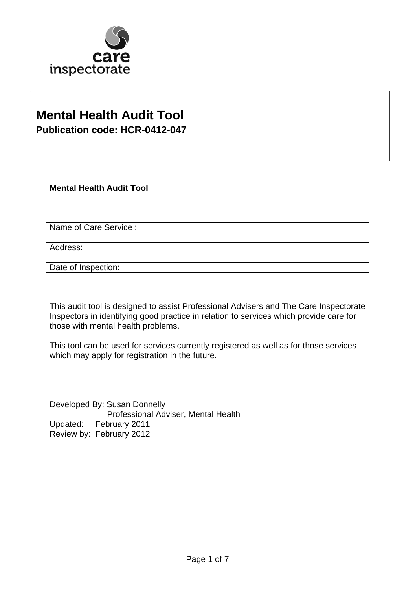

## **Mental Health Audit Tool Publication code: HCR-0412-047**

**Mental Health Audit Tool** 

Name of Care Service :

Address:

Date of Inspection:

This audit tool is designed to assist Professional Advisers and The Care Inspectorate Inspectors in identifying good practice in relation to services which provide care for those with mental health problems.

This tool can be used for services currently registered as well as for those services which may apply for registration in the future.

Developed By: Susan Donnelly Professional Adviser, Mental Health Updated: February 2011 Review by: February 2012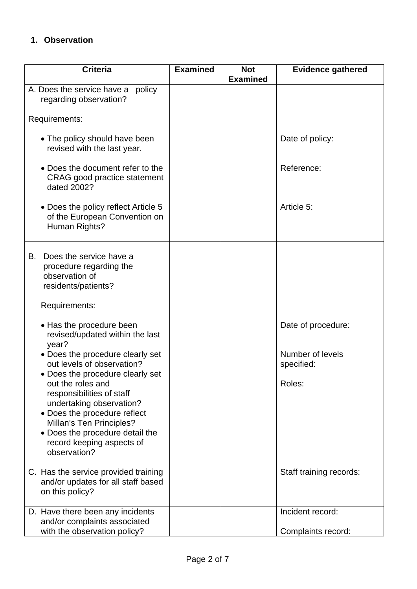### **1. Observation**

| <b>Criteria</b>                                                                                                                                                                                                                                            | <b>Examined</b> | <b>Not</b><br><b>Examined</b> | <b>Evidence gathered</b>                             |
|------------------------------------------------------------------------------------------------------------------------------------------------------------------------------------------------------------------------------------------------------------|-----------------|-------------------------------|------------------------------------------------------|
| A. Does the service have a<br>policy<br>regarding observation?                                                                                                                                                                                             |                 |                               |                                                      |
| Requirements:                                                                                                                                                                                                                                              |                 |                               |                                                      |
| • The policy should have been<br>revised with the last year.                                                                                                                                                                                               |                 |                               | Date of policy:                                      |
| • Does the document refer to the<br><b>CRAG</b> good practice statement<br>dated 2002?                                                                                                                                                                     |                 |                               | Reference:                                           |
| • Does the policy reflect Article 5<br>of the European Convention on<br>Human Rights?                                                                                                                                                                      |                 |                               | Article 5:                                           |
| Does the service have a<br>В.<br>procedure regarding the<br>observation of<br>residents/patients?                                                                                                                                                          |                 |                               |                                                      |
| Requirements:                                                                                                                                                                                                                                              |                 |                               |                                                      |
| • Has the procedure been<br>revised/updated within the last<br>year?<br>• Does the procedure clearly set<br>out levels of observation?                                                                                                                     |                 |                               | Date of procedure:<br>Number of levels<br>specified: |
| • Does the procedure clearly set<br>out the roles and<br>responsibilities of staff<br>undertaking observation?<br>• Does the procedure reflect<br>Millan's Ten Principles?<br>• Does the procedure detail the<br>record keeping aspects of<br>observation? |                 |                               | Roles:                                               |
| C. Has the service provided training<br>and/or updates for all staff based<br>on this policy?                                                                                                                                                              |                 |                               | Staff training records:                              |
| D. Have there been any incidents<br>and/or complaints associated<br>with the observation policy?                                                                                                                                                           |                 |                               | Incident record:<br>Complaints record:               |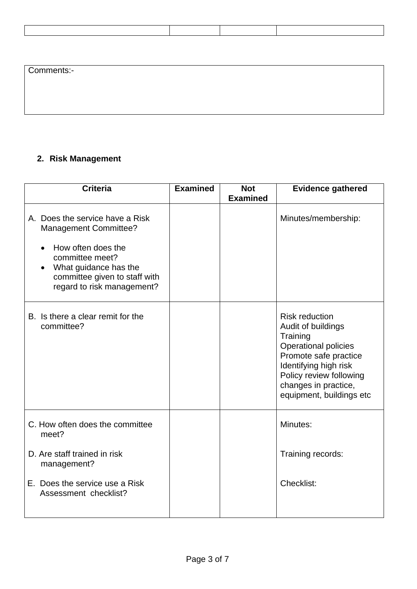| Comments:- |  |  |
|------------|--|--|
|            |  |  |
|            |  |  |
|            |  |  |

### **2. Risk Management**

| <b>Criteria</b>                                                                                                                                                                                  | <b>Examined</b> | <b>Not</b><br><b>Examined</b> | <b>Evidence gathered</b>                                                                                                                                                                                                |
|--------------------------------------------------------------------------------------------------------------------------------------------------------------------------------------------------|-----------------|-------------------------------|-------------------------------------------------------------------------------------------------------------------------------------------------------------------------------------------------------------------------|
| A. Does the service have a Risk<br><b>Management Committee?</b><br>How often does the<br>committee meet?<br>What guidance has the<br>committee given to staff with<br>regard to risk management? |                 |                               | Minutes/membership:                                                                                                                                                                                                     |
| B. Is there a clear remit for the<br>committee?                                                                                                                                                  |                 |                               | <b>Risk reduction</b><br>Audit of buildings<br>Training<br><b>Operational policies</b><br>Promote safe practice<br>Identifying high risk<br>Policy review following<br>changes in practice,<br>equipment, buildings etc |
| C. How often does the committee<br>meet?                                                                                                                                                         |                 |                               | Minutes:                                                                                                                                                                                                                |
| D. Are staff trained in risk<br>management?                                                                                                                                                      |                 |                               | Training records:                                                                                                                                                                                                       |
| E. Does the service use a Risk<br>Assessment checklist?                                                                                                                                          |                 |                               | Checklist:                                                                                                                                                                                                              |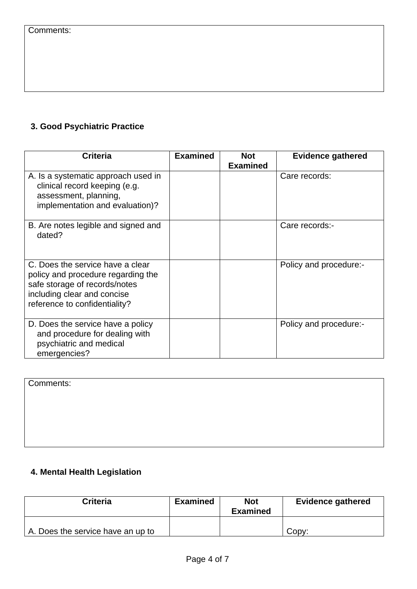### **3. Good Psychiatric Practice**

| <b>Criteria</b>                                                                                                                                                         | <b>Examined</b> | <b>Not</b><br><b>Examined</b> | <b>Evidence gathered</b> |
|-------------------------------------------------------------------------------------------------------------------------------------------------------------------------|-----------------|-------------------------------|--------------------------|
| A. Is a systematic approach used in<br>clinical record keeping (e.g.<br>assessment, planning,<br>implementation and evaluation)?                                        |                 |                               | Care records:            |
| B. Are notes legible and signed and<br>dated?                                                                                                                           |                 |                               | Care records:-           |
| C. Does the service have a clear<br>policy and procedure regarding the<br>safe storage of records/notes<br>including clear and concise<br>reference to confidentiality? |                 |                               | Policy and procedure:-   |
| D. Does the service have a policy<br>and procedure for dealing with<br>psychiatric and medical<br>emergencies?                                                          |                 |                               | Policy and procedure:-   |

Comments:

### **4. Mental Health Legislation**

| <b>Criteria</b>                   | <b>Examined</b> | <b>Not</b><br><b>Examined</b> | <b>Evidence gathered</b> |
|-----------------------------------|-----------------|-------------------------------|--------------------------|
| A. Does the service have an up to |                 |                               | Copy:                    |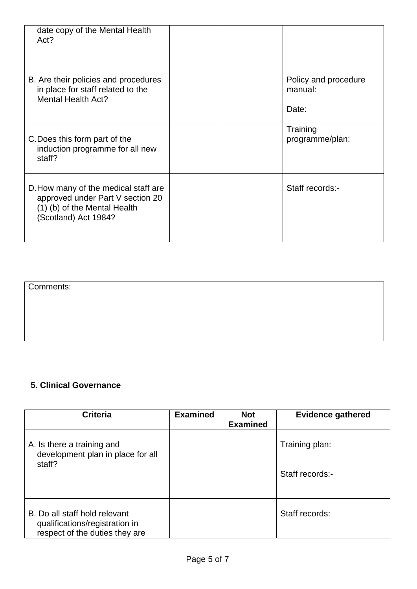| date copy of the Mental Health<br>Act?                                                                                           |  |                                          |
|----------------------------------------------------------------------------------------------------------------------------------|--|------------------------------------------|
| B. Are their policies and procedures<br>in place for staff related to the<br>Mental Health Act?                                  |  | Policy and procedure<br>manual:<br>Date: |
| C. Does this form part of the<br>induction programme for all new<br>staff?                                                       |  | Training<br>programme/plan:              |
| D. How many of the medical staff are<br>approved under Part V section 20<br>(1) (b) of the Mental Health<br>(Scotland) Act 1984? |  | Staff records:-                          |

Comments:

### **5. Clinical Governance**

| <b>Criteria</b>                                                                                   | <b>Examined</b> | <b>Not</b><br><b>Examined</b> | <b>Evidence gathered</b> |
|---------------------------------------------------------------------------------------------------|-----------------|-------------------------------|--------------------------|
| A. Is there a training and<br>development plan in place for all<br>staff?                         |                 |                               | Training plan:           |
|                                                                                                   |                 |                               | Staff records:-          |
| B. Do all staff hold relevant<br>qualifications/registration in<br>respect of the duties they are |                 |                               | Staff records:           |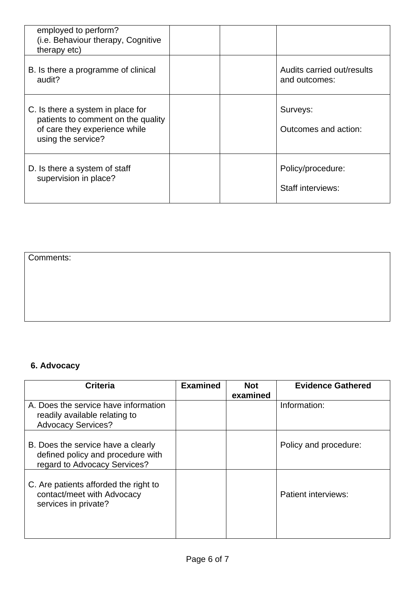| employed to perform?<br>(i.e. Behaviour therapy, Cognitive<br>therapy etc)                                                     |                                             |
|--------------------------------------------------------------------------------------------------------------------------------|---------------------------------------------|
| B. Is there a programme of clinical<br>audit?                                                                                  | Audits carried out/results<br>and outcomes: |
| C. Is there a system in place for<br>patients to comment on the quality<br>of care they experience while<br>using the service? | Surveys:<br>Outcomes and action:            |
| D. Is there a system of staff<br>supervision in place?                                                                         | Policy/procedure:<br>Staff interviews:      |

### Comments:

# **6. Advocacy**

| <b>Criteria</b>                                                                                         | <b>Examined</b> | <b>Not</b><br>examined | <b>Evidence Gathered</b>   |
|---------------------------------------------------------------------------------------------------------|-----------------|------------------------|----------------------------|
| A. Does the service have information<br>readily available relating to<br><b>Advocacy Services?</b>      |                 |                        | Information:               |
| B. Does the service have a clearly<br>defined policy and procedure with<br>regard to Advocacy Services? |                 |                        | Policy and procedure:      |
| C. Are patients afforded the right to<br>contact/meet with Advocacy<br>services in private?             |                 |                        | <b>Patient interviews:</b> |